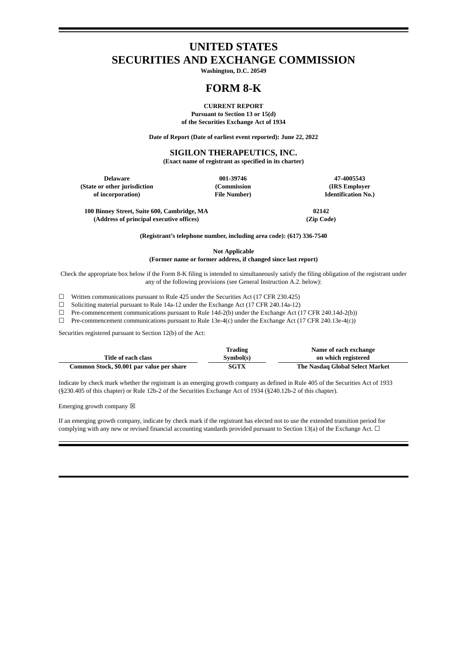## **UNITED STATES SECURITIES AND EXCHANGE COMMISSION**

**Washington, D.C. 20549**

# **FORM 8-K**

**CURRENT REPORT Pursuant to Section 13 or 15(d) of the Securities Exchange Act of 1934**

**Date of Report (Date of earliest event reported): June 22, 2022**

### **SIGILON THERAPEUTICS, INC.**

**(Exact name of registrant as specified in its charter)**

**Delaware 001-39746 47-4005543 (State or other jurisdiction (Commission (IRS Employer**

**Identification No.)** 

**100 Binney Street, Suite 600, Cambridge, MA 02142 (Address of principal executive offices) (Zip Code)**

**(Registrant's telephone number, including area code): (617) 336-7540**

**Not Applicable**

**(Former name or former address, if changed since last report)**

Check the appropriate box below if the Form 8-K filing is intended to simultaneously satisfy the filing obligation of the registrant under any of the following provisions (see General Instruction A.2. below):

☐ Written communications pursuant to Rule 425 under the Securities Act (17 CFR 230.425)

☐ Soliciting material pursuant to Rule 14a-12 under the Exchange Act (17 CFR 240.14a-12)

☐ Pre-commencement communications pursuant to Rule 14d-2(b) under the Exchange Act (17 CFR 240.14d-2(b))

☐ Pre-commencement communications pursuant to Rule 13e-4(c) under the Exchange Act (17 CFR 240.13e-4(c))

Securities registered pursuant to Section 12(b) of the Act:

|                                           | Trading     | Name of each exchange           |
|-------------------------------------------|-------------|---------------------------------|
| Title of each class                       | Symbol(s)   | on which registered             |
| Common Stock, \$0.001 par value per share | <b>SGTX</b> | The Nasdag Global Select Market |

Indicate by check mark whether the registrant is an emerging growth company as defined in Rule 405 of the Securities Act of 1933 (§230.405 of this chapter) or Rule 12b-2 of the Securities Exchange Act of 1934 (§240.12b-2 of this chapter).

Emerging growth company  $\boxtimes$ 

If an emerging growth company, indicate by check mark if the registrant has elected not to use the extended transition period for complying with any new or revised financial accounting standards provided pursuant to Section 13(a) of the Exchange Act.  $\Box$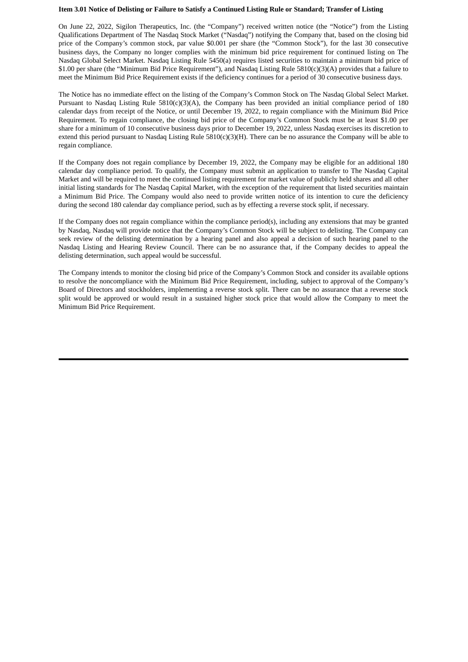#### Item 3.01 Notice of Delisting or Failure to Satisfy a Continued Listing Rule or Standard; Transfer of Listing

On June 22, 2022, Sigilon Therapeutics, Inc. (the "Company") received written notice (the "Notice") from the Listing Qualifications Department of The Nasdaq Stock Market ("Nasdaq") notifying the Company that, based on the closing bid price of the Company's common stock, par value \$0.001 per share (the "Common Stock"), for the last 30 consecutive business days, the Company no longer complies with the minimum bid price requirement for continued listing on The Nasdaq Global Select Market. Nasdaq Listing Rule 5450(a) requires listed securities to maintain a minimum bid price of \$1.00 per share (the "Minimum Bid Price Requirement"), and Nasdaq Listing Rule 5810(c)(3)(A) provides that a failure to meet the Minimum Bid Price Requirement exists if the deficiency continues for a period of 30 consecutive business days.

The Notice has no immediate effect on the listing of the Company's Common Stock on The Nasdaq Global Select Market. Pursuant to Nasdaq Listing Rule  $5810(c)(3)(A)$ , the Company has been provided an initial compliance period of 180 calendar days from receipt of the Notice, or until December 19, 2022, to regain compliance with the Minimum Bid Price Requirement. To regain compliance, the closing bid price of the Company's Common Stock must be at least \$1.00 per share for a minimum of 10 consecutive business days prior to December 19, 2022, unless Nasdaq exercises its discretion to extend this period pursuant to Nasdaq Listing Rule 5810(c)(3)(H). There can be no assurance the Company will be able to regain compliance.

If the Company does not regain compliance by December 19, 2022, the Company may be eligible for an additional 180 calendar day compliance period. To qualify, the Company must submit an application to transfer to The Nasdaq Capital Market and will be required to meet the continued listing requirement for market value of publicly held shares and all other initial listing standards for The Nasdaq Capital Market, with the exception of the requirement that listed securities maintain a Minimum Bid Price. The Company would also need to provide written notice of its intention to cure the deficiency during the second 180 calendar day compliance period, such as by effecting a reverse stock split, if necessary.

If the Company does not regain compliance within the compliance period(s), including any extensions that may be granted by Nasdaq, Nasdaq will provide notice that the Company's Common Stock will be subject to delisting. The Company can seek review of the delisting determination by a hearing panel and also appeal a decision of such hearing panel to the Nasdaq Listing and Hearing Review Council. There can be no assurance that, if the Company decides to appeal the delisting determination, such appeal would be successful.

The Company intends to monitor the closing bid price of the Company's Common Stock and consider its available options to resolve the noncompliance with the Minimum Bid Price Requirement, including, subject to approval of the Company's Board of Directors and stockholders, implementing a reverse stock split. There can be no assurance that a reverse stock split would be approved or would result in a sustained higher stock price that would allow the Company to meet the Minimum Bid Price Requirement.